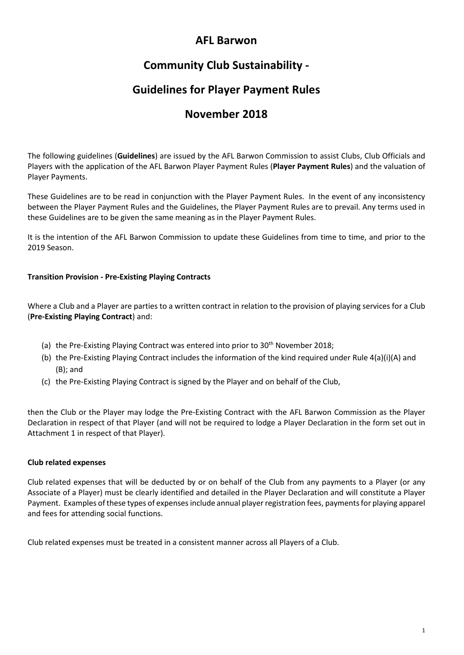## **AFL Barwon**

# **Community Club Sustainability -**

# **Guidelines for Player Payment Rules**

# **November 2018**

The following guidelines (**Guidelines**) are issued by the AFL Barwon Commission to assist Clubs, Club Officials and Players with the application of the AFL Barwon Player Payment Rules (**Player Payment Rules**) and the valuation of Player Payments.

These Guidelines are to be read in conjunction with the Player Payment Rules. In the event of any inconsistency between the Player Payment Rules and the Guidelines, the Player Payment Rules are to prevail. Any terms used in these Guidelines are to be given the same meaning as in the Player Payment Rules.

It is the intention of the AFL Barwon Commission to update these Guidelines from time to time, and prior to the 2019 Season.

## **Transition Provision - Pre-Existing Playing Contracts**

Where a Club and a Player are parties to a written contract in relation to the provision of playing services for a Club (**Pre-Existing Playing Contract**) and:

- (a) the Pre-Existing Playing Contract was entered into prior to 30<sup>th</sup> November 2018;
- (b) the Pre-Existing Playing Contract includes the information of the kind required under Rule 4(a)(i)(A) and (B); and
- (c) the Pre-Existing Playing Contract is signed by the Player and on behalf of the Club,

then the Club or the Player may lodge the Pre-Existing Contract with the AFL Barwon Commission as the Player Declaration in respect of that Player (and will not be required to lodge a Player Declaration in the form set out in Attachment 1 in respect of that Player).

## **Club related expenses**

Club related expenses that will be deducted by or on behalf of the Club from any payments to a Player (or any Associate of a Player) must be clearly identified and detailed in the Player Declaration and will constitute a Player Payment. Examples of these types of expenses include annual player registration fees, payments for playing apparel and fees for attending social functions.

Club related expenses must be treated in a consistent manner across all Players of a Club.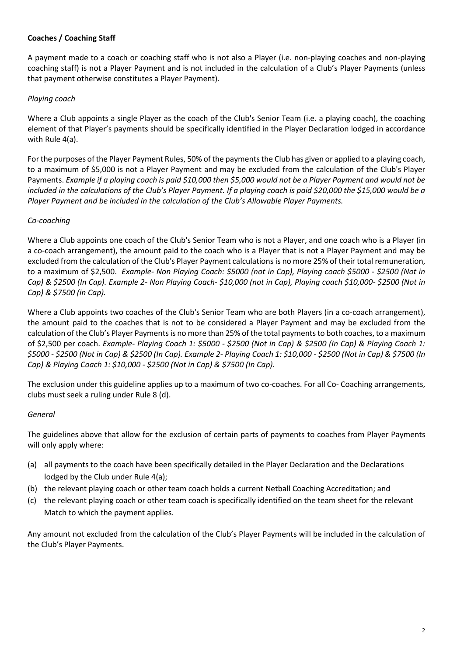## **Coaches / Coaching Staff**

A payment made to a coach or coaching staff who is not also a Player (i.e. non-playing coaches and non-playing coaching staff) is not a Player Payment and is not included in the calculation of a Club's Player Payments (unless that payment otherwise constitutes a Player Payment).

## *Playing coach*

Where a Club appoints a single Player as the coach of the Club's Senior Team (i.e. a playing coach), the coaching element of that Player's payments should be specifically identified in the Player Declaration lodged in accordance with Rule 4(a).

For the purposes of the Player Payment Rules, 50% of the payments the Club has given or applied to a playing coach, to a maximum of \$5,000 is not a Player Payment and may be excluded from the calculation of the Club's Player Payments. *Example if a playing coach is paid \$10,000 then \$5,000 would not be a Player Payment and would not be included in the calculations of the Club's Player Payment. If a playing coach is paid \$20,000 the \$15,000 would be a Player Payment and be included in the calculation of the Club's Allowable Player Payments.*

## *Co-coaching*

Where a Club appoints one coach of the Club's Senior Team who is not a Player, and one coach who is a Player (in a co-coach arrangement), the amount paid to the coach who is a Player that is not a Player Payment and may be excluded from the calculation of the Club's Player Payment calculations is no more 25% of their total remuneration, to a maximum of \$2,500. *Example- Non Playing Coach: \$5000 (not in Cap), Playing coach \$5000 - \$2500 (Not in Cap) & \$2500 (In Cap). Example 2- Non Playing Coach- \$10,000 (not in Cap), Playing coach \$10,000- \$2500 (Not in Cap) & \$7500 (in Cap).*

Where a Club appoints two coaches of the Club's Senior Team who are both Players (in a co-coach arrangement), the amount paid to the coaches that is not to be considered a Player Payment and may be excluded from the calculation of the Club's Player Paymentsis no more than 25% of the total payments to both coaches, to a maximum of \$2,500 per coach. *Example- Playing Coach 1: \$5000 - \$2500 (Not in Cap) & \$2500 (In Cap) & Playing Coach 1: \$5000 - \$2500 (Not in Cap) & \$2500 (In Cap). Example 2- Playing Coach 1: \$10,000 - \$2500 (Not in Cap) & \$7500 (In Cap) & Playing Coach 1: \$10,000 - \$2500 (Not in Cap) & \$7500 (In Cap).*

The exclusion under this guideline applies up to a maximum of two co-coaches. For all Co- Coaching arrangements, clubs must seek a ruling under Rule 8 (d).

#### *General*

The guidelines above that allow for the exclusion of certain parts of payments to coaches from Player Payments will only apply where:

- (a) all payments to the coach have been specifically detailed in the Player Declaration and the Declarations lodged by the Club under Rule 4(a);
- (b) the relevant playing coach or other team coach holds a current Netball Coaching Accreditation; and
- (c) the relevant playing coach or other team coach is specifically identified on the team sheet for the relevant Match to which the payment applies.

Any amount not excluded from the calculation of the Club's Player Payments will be included in the calculation of the Club's Player Payments.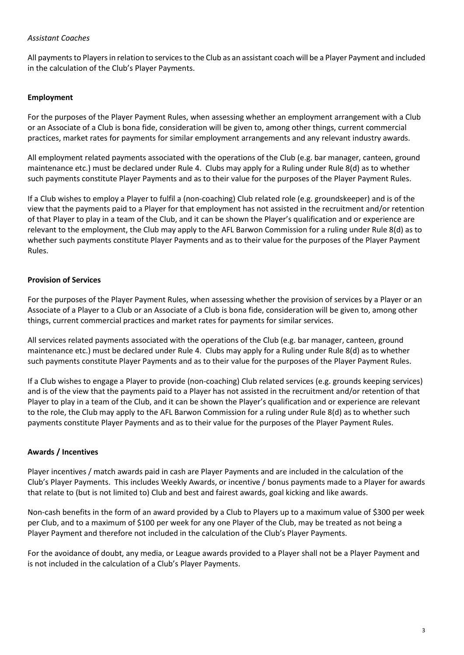### *Assistant Coaches*

All payments to Players in relation to services to the Club as an assistant coach will be a Player Payment and included in the calculation of the Club's Player Payments.

## **Employment**

For the purposes of the Player Payment Rules, when assessing whether an employment arrangement with a Club or an Associate of a Club is bona fide, consideration will be given to, among other things, current commercial practices, market rates for payments for similar employment arrangements and any relevant industry awards.

All employment related payments associated with the operations of the Club (e.g. bar manager, canteen, ground maintenance etc.) must be declared under Rule 4. Clubs may apply for a Ruling under Rule 8(d) as to whether such payments constitute Player Payments and as to their value for the purposes of the Player Payment Rules.

If a Club wishes to employ a Player to fulfil a (non-coaching) Club related role (e.g. groundskeeper) and is of the view that the payments paid to a Player for that employment has not assisted in the recruitment and/or retention of that Player to play in a team of the Club, and it can be shown the Player's qualification and or experience are relevant to the employment, the Club may apply to the AFL Barwon Commission for a ruling under Rule 8(d) as to whether such payments constitute Player Payments and as to their value for the purposes of the Player Payment Rules.

## **Provision of Services**

For the purposes of the Player Payment Rules, when assessing whether the provision of services by a Player or an Associate of a Player to a Club or an Associate of a Club is bona fide, consideration will be given to, among other things, current commercial practices and market rates for payments for similar services.

All services related payments associated with the operations of the Club (e.g. bar manager, canteen, ground maintenance etc.) must be declared under Rule 4. Clubs may apply for a Ruling under Rule 8(d) as to whether such payments constitute Player Payments and as to their value for the purposes of the Player Payment Rules.

If a Club wishes to engage a Player to provide (non-coaching) Club related services (e.g. grounds keeping services) and is of the view that the payments paid to a Player has not assisted in the recruitment and/or retention of that Player to play in a team of the Club, and it can be shown the Player's qualification and or experience are relevant to the role, the Club may apply to the AFL Barwon Commission for a ruling under Rule 8(d) as to whether such payments constitute Player Payments and as to their value for the purposes of the Player Payment Rules.

#### **Awards / Incentives**

Player incentives / match awards paid in cash are Player Payments and are included in the calculation of the Club's Player Payments. This includes Weekly Awards, or incentive / bonus payments made to a Player for awards that relate to (but is not limited to) Club and best and fairest awards, goal kicking and like awards.

Non-cash benefits in the form of an award provided by a Club to Players up to a maximum value of \$300 per week per Club, and to a maximum of \$100 per week for any one Player of the Club, may be treated as not being a Player Payment and therefore not included in the calculation of the Club's Player Payments.

For the avoidance of doubt, any media, or League awards provided to a Player shall not be a Player Payment and is not included in the calculation of a Club's Player Payments.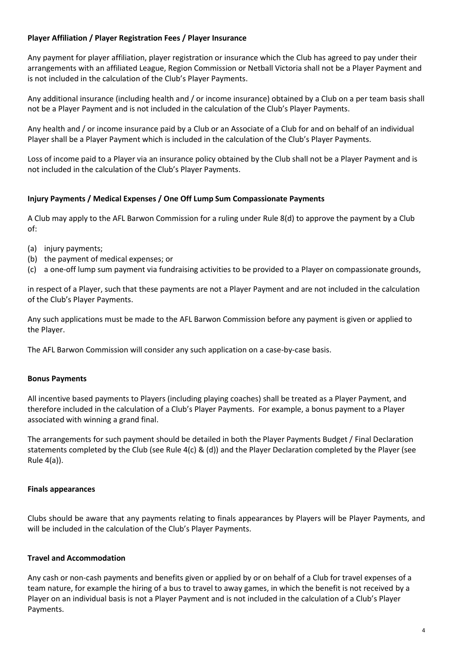## **Player Affiliation / Player Registration Fees / Player Insurance**

Any payment for player affiliation, player registration or insurance which the Club has agreed to pay under their arrangements with an affiliated League, Region Commission or Netball Victoria shall not be a Player Payment and is not included in the calculation of the Club's Player Payments.

Any additional insurance (including health and / or income insurance) obtained by a Club on a per team basis shall not be a Player Payment and is not included in the calculation of the Club's Player Payments.

Any health and / or income insurance paid by a Club or an Associate of a Club for and on behalf of an individual Player shall be a Player Payment which is included in the calculation of the Club's Player Payments.

Loss of income paid to a Player via an insurance policy obtained by the Club shall not be a Player Payment and is not included in the calculation of the Club's Player Payments.

## **Injury Payments / Medical Expenses / One Off Lump Sum Compassionate Payments**

A Club may apply to the AFL Barwon Commission for a ruling under Rule 8(d) to approve the payment by a Club of:

- (a) injury payments;
- (b) the payment of medical expenses; or
- (c) a one-off lump sum payment via fundraising activities to be provided to a Player on compassionate grounds,

in respect of a Player, such that these payments are not a Player Payment and are not included in the calculation of the Club's Player Payments.

Any such applications must be made to the AFL Barwon Commission before any payment is given or applied to the Player.

The AFL Barwon Commission will consider any such application on a case-by-case basis.

#### **Bonus Payments**

All incentive based payments to Players (including playing coaches) shall be treated as a Player Payment, and therefore included in the calculation of a Club's Player Payments. For example, a bonus payment to a Player associated with winning a grand final.

The arrangements for such payment should be detailed in both the Player Payments Budget / Final Declaration statements completed by the Club (see Rule 4(c) & (d)) and the Player Declaration completed by the Player (see Rule 4(a)).

#### **Finals appearances**

Clubs should be aware that any payments relating to finals appearances by Players will be Player Payments, and will be included in the calculation of the Club's Player Payments.

#### **Travel and Accommodation**

Any cash or non-cash payments and benefits given or applied by or on behalf of a Club for travel expenses of a team nature, for example the hiring of a bus to travel to away games, in which the benefit is not received by a Player on an individual basis is not a Player Payment and is not included in the calculation of a Club's Player Payments.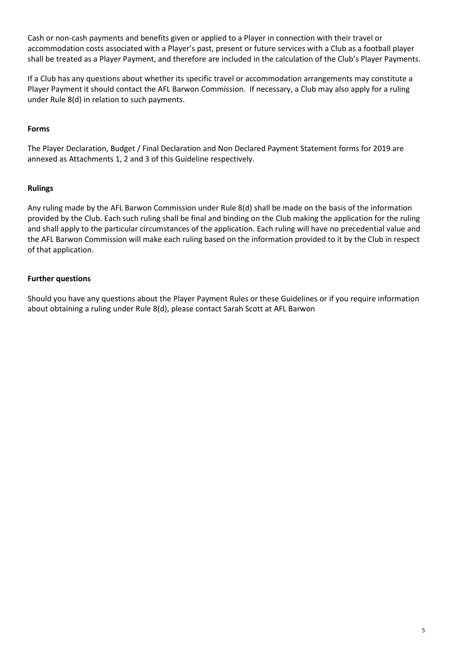Cash or non-cash payments and benefits given or applied to a Player in connection with their travel or accommodation costs associated with a Player's past, present or future services with a Club as a football player shall be treated as a Player Payment, and therefore are included in the calculation of the Club's Player Payments.

If a Club has any questions about whether its specific travel or accommodation arrangements may constitute a Player Payment it should contact the AFL Barwon Commission. If necessary, a Club may also apply for a ruling under Rule 8(d) in relation to such payments.

## **Forms**

The Player Declaration, Budget / Final Declaration and Non Declared Payment Statement forms for 2019 are annexed as Attachments 1, 2 and 3 of this Guideline respectively.

#### **Rulings**

Any ruling made by the AFL Barwon Commission under Rule 8(d) shall be made on the basis of the information provided by the Club. Each such ruling shall be final and binding on the Club making the application for the ruling and shall apply to the particular circumstances of the application. Each ruling will have no precedential value and the AFL Barwon Commission will make each ruling based on the information provided to it by the Club in respect of that application.

#### **Further questions**

Should you have any questions about the Player Payment Rules or these Guidelines or if you require information about obtaining a ruling under Rule 8(d), please contact Sarah Scott at AFL Barwon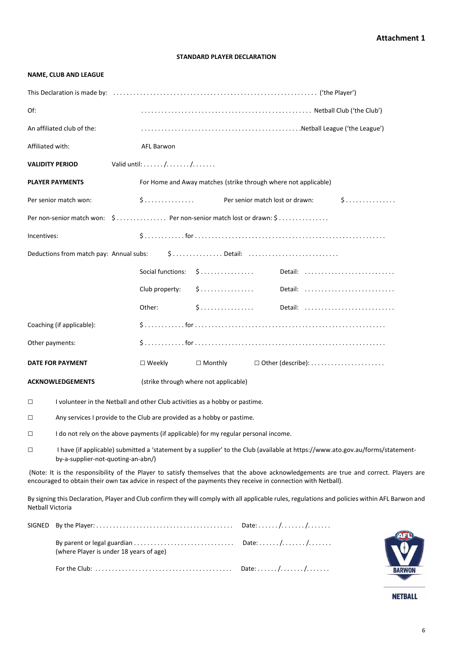#### **STANDARD PLAYER DECLARATION**

#### **NAME, CLUB AND LEAGUE**

| Of:                     |                                                                                                                                                                      |                                                                 |                                       |                                                                     |                                                                                                                                                 |  |  |  |
|-------------------------|----------------------------------------------------------------------------------------------------------------------------------------------------------------------|-----------------------------------------------------------------|---------------------------------------|---------------------------------------------------------------------|-------------------------------------------------------------------------------------------------------------------------------------------------|--|--|--|
|                         | An affiliated club of the:                                                                                                                                           |                                                                 |                                       |                                                                     |                                                                                                                                                 |  |  |  |
| Affiliated with:        |                                                                                                                                                                      | <b>AFL Barwon</b>                                               |                                       |                                                                     |                                                                                                                                                 |  |  |  |
|                         | <b>VALIDITY PERIOD</b>                                                                                                                                               | Valid until: $\dots \dots / \dots \dots / \dots \dots$          |                                       |                                                                     |                                                                                                                                                 |  |  |  |
|                         | <b>PLAYER PAYMENTS</b>                                                                                                                                               | For Home and Away matches (strike through where not applicable) |                                       |                                                                     |                                                                                                                                                 |  |  |  |
|                         | Per senior match won:                                                                                                                                                |                                                                 |                                       | \$ Per senior match lost or drawn:                                  | 5                                                                                                                                               |  |  |  |
|                         | Per non-senior match won: \$ Per non-senior match lost or drawn: \$                                                                                                  |                                                                 |                                       |                                                                     |                                                                                                                                                 |  |  |  |
| Incentives:             |                                                                                                                                                                      |                                                                 |                                       |                                                                     |                                                                                                                                                 |  |  |  |
|                         | Deductions from match pay: Annual subs: \$Detail:                                                                                                                    |                                                                 |                                       |                                                                     |                                                                                                                                                 |  |  |  |
|                         |                                                                                                                                                                      |                                                                 |                                       |                                                                     |                                                                                                                                                 |  |  |  |
|                         |                                                                                                                                                                      |                                                                 |                                       |                                                                     |                                                                                                                                                 |  |  |  |
|                         |                                                                                                                                                                      | Other:                                                          | \$                                    |                                                                     | Detail:                                                                                                                                         |  |  |  |
|                         | Coaching (if applicable):                                                                                                                                            |                                                                 |                                       |                                                                     |                                                                                                                                                 |  |  |  |
| Other payments:         |                                                                                                                                                                      |                                                                 |                                       |                                                                     |                                                                                                                                                 |  |  |  |
|                         | DATE FOR PAYMENT                                                                                                                                                     | $\square$ Weekly                                                | $\Box$ Monthly                        | $\Box$ Other (describe): $\dots\dots\dots\dots\dots\dots\dots\dots$ |                                                                                                                                                 |  |  |  |
|                         | <b>ACKNOWLEDGEMENTS</b>                                                                                                                                              |                                                                 | (strike through where not applicable) |                                                                     |                                                                                                                                                 |  |  |  |
| $\Box$                  | I volunteer in the Netball and other Club activities as a hobby or pastime.                                                                                          |                                                                 |                                       |                                                                     |                                                                                                                                                 |  |  |  |
| $\Box$                  | Any services I provide to the Club are provided as a hobby or pastime.                                                                                               |                                                                 |                                       |                                                                     |                                                                                                                                                 |  |  |  |
| $\Box$                  | I do not rely on the above payments (if applicable) for my regular personal income.                                                                                  |                                                                 |                                       |                                                                     |                                                                                                                                                 |  |  |  |
| □                       | I have (if applicable) submitted a 'statement by a supplier' to the Club (available at https://www.ato.gov.au/forms/statement-<br>by-a-supplier-not-quoting-an-abn/) |                                                                 |                                       |                                                                     |                                                                                                                                                 |  |  |  |
|                         | encouraged to obtain their own tax advice in respect of the payments they receive in connection with Netball).                                                       |                                                                 |                                       |                                                                     | (Note: It is the responsibility of the Player to satisfy themselves that the above acknowledgements are true and correct. Players are           |  |  |  |
| <b>Netball Victoria</b> |                                                                                                                                                                      |                                                                 |                                       |                                                                     | By signing this Declaration, Player and Club confirm they will comply with all applicable rules, regulations and policies within AFL Barwon and |  |  |  |
| SIGNED                  |                                                                                                                                                                      |                                                                 |                                       |                                                                     |                                                                                                                                                 |  |  |  |
|                         | (where Player is under 18 years of age)                                                                                                                              |                                                                 |                                       |                                                                     |                                                                                                                                                 |  |  |  |

For the Club: . . . . . . . . . . . . . . . . . . . . . . . . . . . . . . . . . . . . . . . . . Date: . . . . . . /. . . . . . . /. . . . . . .

**NETBALL** 

**BARWON**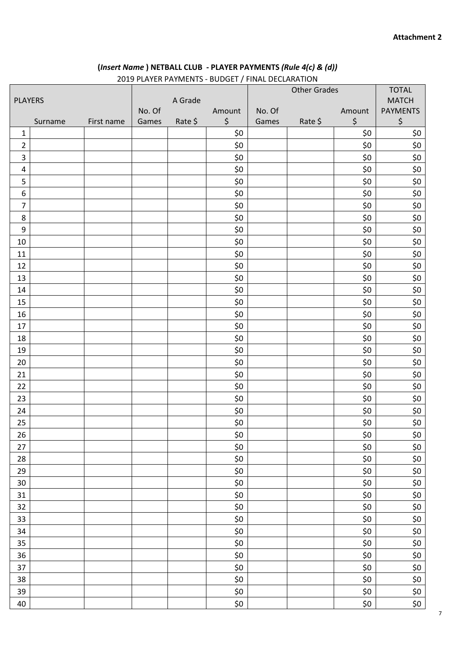## **(***Insert Name* **) NETBALL CLUB - PLAYER PAYMENTS** *(Rule 4(c) & (d))*

|                  |         |            |        |         | 2019 PLAYER PAYMENTS - BUDGET / FINAL DECLARATION |        | <b>Other Grades</b> |         | <b>TOTAL</b>    |
|------------------|---------|------------|--------|---------|---------------------------------------------------|--------|---------------------|---------|-----------------|
| <b>PLAYERS</b>   |         | A Grade    |        |         |                                                   |        | <b>MATCH</b>        |         |                 |
|                  |         |            | No. Of |         | Amount                                            | No. Of |                     | Amount  | <b>PAYMENTS</b> |
|                  | Surname | First name | Games  | Rate \$ | \$                                                | Games  | Rate \$             | $\zeta$ | \$              |
| $\mathbf{1}$     |         |            |        |         | \$0                                               |        |                     | \$0     | \$0             |
| $\overline{2}$   |         |            |        |         | \$0                                               |        |                     | \$0     | \$0             |
| $\mathsf{3}$     |         |            |        |         | \$0                                               |        |                     | \$0     | \$0             |
| $\overline{4}$   |         |            |        |         | \$0                                               |        |                     | \$0     | \$0             |
| 5                |         |            |        |         | \$0                                               |        |                     | \$0     | \$0             |
| $\boldsymbol{6}$ |         |            |        |         | \$0\$                                             |        |                     | \$0     | \$0             |
| $\overline{7}$   |         |            |        |         | \$0                                               |        |                     | \$0     | \$0             |
| 8                |         |            |        |         | \$0                                               |        |                     | \$0     | \$0             |
| $\boldsymbol{9}$ |         |            |        |         | \$0                                               |        |                     | \$0     | \$0             |
| 10               |         |            |        |         | \$0                                               |        |                     | \$0     | \$0             |
| 11               |         |            |        |         | \$0                                               |        |                     | \$0     | \$0             |
| 12               |         |            |        |         | \$0                                               |        |                     | \$0     | \$0             |
| 13               |         |            |        |         | \$0                                               |        |                     | \$0     | \$0             |
| 14               |         |            |        |         | \$0                                               |        |                     | \$0     | \$0             |
| 15               |         |            |        |         | \$0                                               |        |                     | \$0     | \$0             |
| 16               |         |            |        |         | \$0                                               |        |                     | \$0     | \$0             |
| 17               |         |            |        |         | \$0                                               |        |                     | \$0     | \$0             |
| 18               |         |            |        |         | \$0\$                                             |        |                     | \$0     | \$0             |
| 19               |         |            |        |         | \$0                                               |        |                     | \$0     | \$0             |
| 20               |         |            |        |         | \$0                                               |        |                     | \$0     | \$0             |
| 21               |         |            |        |         | \$0                                               |        |                     | \$0     | \$0             |
| 22               |         |            |        |         | \$0                                               |        |                     | \$0     | \$0             |
| 23               |         |            |        |         | \$0                                               |        |                     | \$0     | \$0             |
| 24               |         |            |        |         | \$0                                               |        |                     | \$0     | \$0             |
| 25               |         |            |        |         | \$0                                               |        |                     | \$0     | \$0             |
| 26               |         |            |        |         | \$0                                               |        |                     | \$0     | \$0             |
| $27\,$           |         |            |        |         | $$0$$                                             |        |                     | \$0     | \$0             |
| 28               |         |            |        |         | \$0                                               |        |                     | \$0     | \$0             |
| 29               |         |            |        |         | $$0$$                                             |        |                     | \$0     | \$0             |
| 30               |         |            |        |         | \$0                                               |        |                     | \$0     | \$0             |
| 31               |         |            |        |         | $$0$$                                             |        |                     | \$0     | \$0             |
| 32               |         |            |        |         | $$0$$                                             |        |                     | \$0     | \$0             |
| 33               |         |            |        |         | \$0                                               |        |                     | \$0     | \$0             |
| 34               |         |            |        |         | $$0$$                                             |        |                     | \$0     | \$0             |
| 35               |         |            |        |         | \$0                                               |        |                     | \$0     | \$0             |
| 36               |         |            |        |         | \$0                                               |        |                     | \$0     | \$0             |
| 37               |         |            |        |         | $$0$$                                             |        |                     | \$0     | \$0             |
| 38               |         |            |        |         | \$0                                               |        |                     | \$0     | \$0             |
| 39               |         |            |        |         | $$0$$                                             |        |                     | \$0     | \$0             |
| 40               |         |            |        |         | \$0                                               |        |                     | \$0     | \$0             |

## PLAYER PAYMENTS - BUDGET / FINAL DECLARATION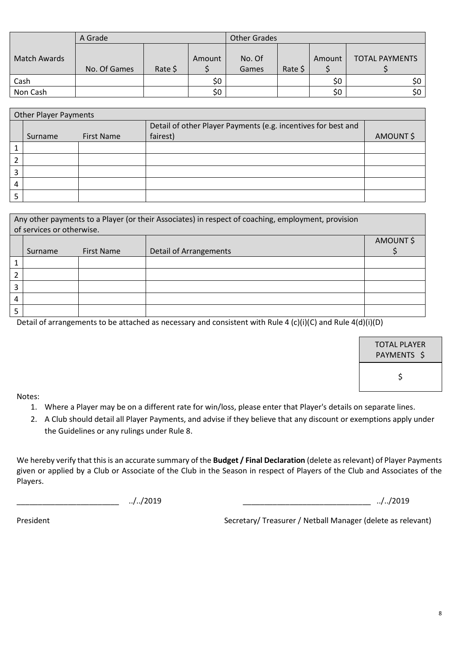|              | A Grade      |         |        | <b>Other Grades</b> |         |        |                       |
|--------------|--------------|---------|--------|---------------------|---------|--------|-----------------------|
| Match Awards | No. Of Games | Rate \$ | Amount | No. Of<br>Games     | Rate \$ | Amount | <b>TOTAL PAYMENTS</b> |
| Cash         |              |         | \$0    |                     |         | \$0    | \$0                   |
| Non Cash     |              |         | \$0    |                     |         | \$0    | \$0                   |

| <b>Other Player Payments</b> |         |                   |                                                                           |          |  |
|------------------------------|---------|-------------------|---------------------------------------------------------------------------|----------|--|
|                              | Surname | <b>First Name</b> | Detail of other Player Payments (e.g. incentives for best and<br>fairest) | AMOUNT\$ |  |
|                              |         |                   |                                                                           |          |  |
| ำ                            |         |                   |                                                                           |          |  |
| 3                            |         |                   |                                                                           |          |  |
| 4                            |         |                   |                                                                           |          |  |
| 5                            |         |                   |                                                                           |          |  |

| Any other payments to a Player (or their Associates) in respect of coaching, employment, provision<br>of services or otherwise. |         |                   |                               |          |  |
|---------------------------------------------------------------------------------------------------------------------------------|---------|-------------------|-------------------------------|----------|--|
|                                                                                                                                 |         |                   |                               | AMOUNT\$ |  |
|                                                                                                                                 | Surname | <b>First Name</b> | <b>Detail of Arrangements</b> |          |  |
|                                                                                                                                 |         |                   |                               |          |  |
|                                                                                                                                 |         |                   |                               |          |  |
|                                                                                                                                 |         |                   |                               |          |  |
| 4                                                                                                                               |         |                   |                               |          |  |
|                                                                                                                                 |         |                   |                               |          |  |

Detail of arrangements to be attached as necessary and consistent with Rule 4 (c)(i)(C) and Rule 4(d)(i)(D)

| TOTAL PLAYER<br>PAYMENTS \$ |  |
|-----------------------------|--|
| Ś                           |  |

Notes:

- 1. Where a Player may be on a different rate for win/loss, please enter that Player's details on separate lines.
- 2. A Club should detail all Player Payments, and advise if they believe that any discount or exemptions apply under the Guidelines or any rulings under Rule 8.

We hereby verify that this is an accurate summary of the **Budget / Final Declaration** (delete as relevant) of Player Payments given or applied by a Club or Associate of the Club in the Season in respect of Players of the Club and Associates of the Players.

\_\_\_\_\_\_\_\_\_\_\_\_\_\_\_\_\_\_\_\_\_\_\_\_ ../../2019 \_\_\_\_\_\_\_\_\_\_\_\_\_\_\_\_\_\_\_\_\_\_\_\_\_\_\_\_\_\_ ../../2019

President Netball Manager (delete as relevant) Secretary/ Treasurer / Netball Manager (delete as relevant)